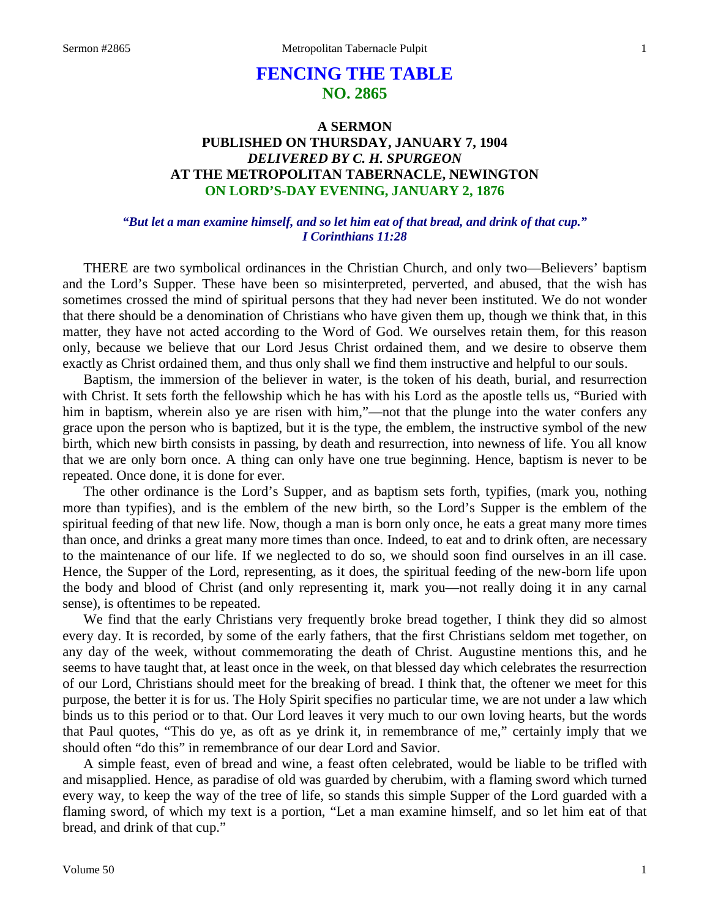# **FENCING THE TABLE NO. 2865**

## **A SERMON PUBLISHED ON THURSDAY, JANUARY 7, 1904** *DELIVERED BY C. H. SPURGEON* **AT THE METROPOLITAN TABERNACLE, NEWINGTON ON LORD'S-DAY EVENING, JANUARY 2, 1876**

## *"But let a man examine himself, and so let him eat of that bread, and drink of that cup." I Corinthians 11:28*

THERE are two symbolical ordinances in the Christian Church, and only two—Believers' baptism and the Lord's Supper. These have been so misinterpreted, perverted, and abused, that the wish has sometimes crossed the mind of spiritual persons that they had never been instituted. We do not wonder that there should be a denomination of Christians who have given them up, though we think that, in this matter, they have not acted according to the Word of God. We ourselves retain them, for this reason only, because we believe that our Lord Jesus Christ ordained them, and we desire to observe them exactly as Christ ordained them, and thus only shall we find them instructive and helpful to our souls.

Baptism, the immersion of the believer in water, is the token of his death, burial, and resurrection with Christ. It sets forth the fellowship which he has with his Lord as the apostle tells us, "Buried with him in baptism, wherein also ye are risen with him,"—not that the plunge into the water confers any grace upon the person who is baptized, but it is the type, the emblem, the instructive symbol of the new birth, which new birth consists in passing, by death and resurrection, into newness of life. You all know that we are only born once. A thing can only have one true beginning. Hence, baptism is never to be repeated. Once done, it is done for ever.

The other ordinance is the Lord's Supper, and as baptism sets forth, typifies, (mark you, nothing more than typifies), and is the emblem of the new birth, so the Lord's Supper is the emblem of the spiritual feeding of that new life. Now, though a man is born only once, he eats a great many more times than once, and drinks a great many more times than once. Indeed, to eat and to drink often, are necessary to the maintenance of our life. If we neglected to do so, we should soon find ourselves in an ill case. Hence, the Supper of the Lord, representing, as it does, the spiritual feeding of the new-born life upon the body and blood of Christ (and only representing it, mark you—not really doing it in any carnal sense), is oftentimes to be repeated.

We find that the early Christians very frequently broke bread together, I think they did so almost every day. It is recorded, by some of the early fathers, that the first Christians seldom met together, on any day of the week, without commemorating the death of Christ. Augustine mentions this, and he seems to have taught that, at least once in the week, on that blessed day which celebrates the resurrection of our Lord, Christians should meet for the breaking of bread. I think that, the oftener we meet for this purpose, the better it is for us. The Holy Spirit specifies no particular time, we are not under a law which binds us to this period or to that. Our Lord leaves it very much to our own loving hearts, but the words that Paul quotes, "This do ye, as oft as ye drink it, in remembrance of me," certainly imply that we should often "do this" in remembrance of our dear Lord and Savior.

A simple feast, even of bread and wine, a feast often celebrated, would be liable to be trifled with and misapplied. Hence, as paradise of old was guarded by cherubim, with a flaming sword which turned every way, to keep the way of the tree of life, so stands this simple Supper of the Lord guarded with a flaming sword, of which my text is a portion, "Let a man examine himself, and so let him eat of that bread, and drink of that cup."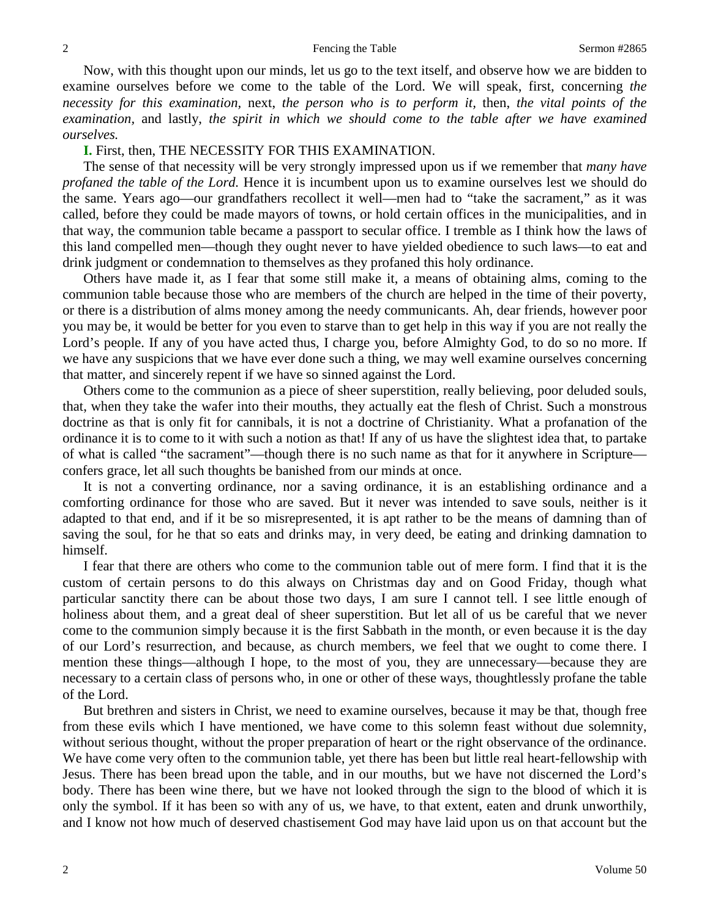Now, with this thought upon our minds, let us go to the text itself, and observe how we are bidden to examine ourselves before we come to the table of the Lord. We will speak, first, concerning *the necessity for this examination,* next, *the person who is to perform it,* then, *the vital points of the examination,* and lastly, *the spirit in which we should come to the table after we have examined ourselves.*

### **I.** First, then, THE NECESSITY FOR THIS EXAMINATION.

The sense of that necessity will be very strongly impressed upon us if we remember that *many have profaned the table of the Lord.* Hence it is incumbent upon us to examine ourselves lest we should do the same. Years ago—our grandfathers recollect it well—men had to "take the sacrament," as it was called, before they could be made mayors of towns, or hold certain offices in the municipalities, and in that way, the communion table became a passport to secular office. I tremble as I think how the laws of this land compelled men—though they ought never to have yielded obedience to such laws—to eat and drink judgment or condemnation to themselves as they profaned this holy ordinance.

Others have made it, as I fear that some still make it, a means of obtaining alms, coming to the communion table because those who are members of the church are helped in the time of their poverty, or there is a distribution of alms money among the needy communicants. Ah, dear friends, however poor you may be, it would be better for you even to starve than to get help in this way if you are not really the Lord's people. If any of you have acted thus, I charge you, before Almighty God, to do so no more. If we have any suspicions that we have ever done such a thing, we may well examine ourselves concerning that matter, and sincerely repent if we have so sinned against the Lord.

Others come to the communion as a piece of sheer superstition, really believing, poor deluded souls, that, when they take the wafer into their mouths, they actually eat the flesh of Christ. Such a monstrous doctrine as that is only fit for cannibals, it is not a doctrine of Christianity. What a profanation of the ordinance it is to come to it with such a notion as that! If any of us have the slightest idea that, to partake of what is called "the sacrament"—though there is no such name as that for it anywhere in Scripture confers grace, let all such thoughts be banished from our minds at once.

It is not a converting ordinance, nor a saving ordinance, it is an establishing ordinance and a comforting ordinance for those who are saved. But it never was intended to save souls, neither is it adapted to that end, and if it be so misrepresented, it is apt rather to be the means of damning than of saving the soul, for he that so eats and drinks may, in very deed, be eating and drinking damnation to himself.

I fear that there are others who come to the communion table out of mere form. I find that it is the custom of certain persons to do this always on Christmas day and on Good Friday, though what particular sanctity there can be about those two days, I am sure I cannot tell. I see little enough of holiness about them, and a great deal of sheer superstition. But let all of us be careful that we never come to the communion simply because it is the first Sabbath in the month, or even because it is the day of our Lord's resurrection, and because, as church members, we feel that we ought to come there. I mention these things—although I hope, to the most of you, they are unnecessary—because they are necessary to a certain class of persons who, in one or other of these ways, thoughtlessly profane the table of the Lord.

But brethren and sisters in Christ, we need to examine ourselves, because it may be that, though free from these evils which I have mentioned, we have come to this solemn feast without due solemnity, without serious thought, without the proper preparation of heart or the right observance of the ordinance. We have come very often to the communion table, yet there has been but little real heart-fellowship with Jesus. There has been bread upon the table, and in our mouths, but we have not discerned the Lord's body. There has been wine there, but we have not looked through the sign to the blood of which it is only the symbol. If it has been so with any of us, we have, to that extent, eaten and drunk unworthily, and I know not how much of deserved chastisement God may have laid upon us on that account but the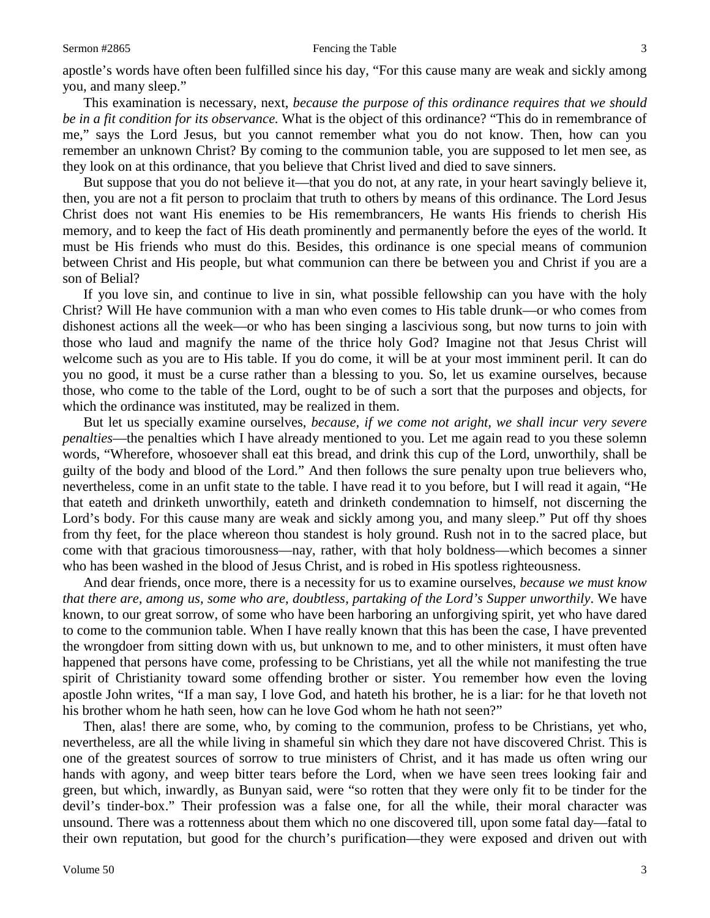apostle's words have often been fulfilled since his day, "For this cause many are weak and sickly among you, and many sleep."

This examination is necessary, next, *because the purpose of this ordinance requires that we should be in a fit condition for its observance.* What is the object of this ordinance? "This do in remembrance of me," says the Lord Jesus, but you cannot remember what you do not know. Then, how can you remember an unknown Christ? By coming to the communion table, you are supposed to let men see, as they look on at this ordinance, that you believe that Christ lived and died to save sinners.

But suppose that you do not believe it—that you do not, at any rate, in your heart savingly believe it, then, you are not a fit person to proclaim that truth to others by means of this ordinance. The Lord Jesus Christ does not want His enemies to be His remembrancers, He wants His friends to cherish His memory, and to keep the fact of His death prominently and permanently before the eyes of the world. It must be His friends who must do this. Besides, this ordinance is one special means of communion between Christ and His people, but what communion can there be between you and Christ if you are a son of Belial?

If you love sin, and continue to live in sin, what possible fellowship can you have with the holy Christ? Will He have communion with a man who even comes to His table drunk—or who comes from dishonest actions all the week—or who has been singing a lascivious song, but now turns to join with those who laud and magnify the name of the thrice holy God? Imagine not that Jesus Christ will welcome such as you are to His table. If you do come, it will be at your most imminent peril. It can do you no good, it must be a curse rather than a blessing to you. So, let us examine ourselves, because those, who come to the table of the Lord, ought to be of such a sort that the purposes and objects, for which the ordinance was instituted, may be realized in them.

But let us specially examine ourselves, *because, if we come not aright, we shall incur very severe penalties*—the penalties which I have already mentioned to you. Let me again read to you these solemn words, "Wherefore, whosoever shall eat this bread, and drink this cup of the Lord, unworthily, shall be guilty of the body and blood of the Lord." And then follows the sure penalty upon true believers who, nevertheless, come in an unfit state to the table. I have read it to you before, but I will read it again, "He that eateth and drinketh unworthily, eateth and drinketh condemnation to himself, not discerning the Lord's body. For this cause many are weak and sickly among you, and many sleep." Put off thy shoes from thy feet, for the place whereon thou standest is holy ground. Rush not in to the sacred place, but come with that gracious timorousness—nay, rather, with that holy boldness—which becomes a sinner who has been washed in the blood of Jesus Christ, and is robed in His spotless righteousness.

And dear friends, once more, there is a necessity for us to examine ourselves, *because we must know that there are, among us, some who are, doubtless, partaking of the Lord's Supper unworthily*. We have known, to our great sorrow, of some who have been harboring an unforgiving spirit, yet who have dared to come to the communion table. When I have really known that this has been the case, I have prevented the wrongdoer from sitting down with us, but unknown to me, and to other ministers, it must often have happened that persons have come, professing to be Christians, yet all the while not manifesting the true spirit of Christianity toward some offending brother or sister. You remember how even the loving apostle John writes, "If a man say, I love God, and hateth his brother, he is a liar: for he that loveth not his brother whom he hath seen, how can he love God whom he hath not seen?"

Then, alas! there are some, who, by coming to the communion, profess to be Christians, yet who, nevertheless, are all the while living in shameful sin which they dare not have discovered Christ. This is one of the greatest sources of sorrow to true ministers of Christ, and it has made us often wring our hands with agony, and weep bitter tears before the Lord, when we have seen trees looking fair and green, but which, inwardly, as Bunyan said, were "so rotten that they were only fit to be tinder for the devil's tinder-box." Their profession was a false one, for all the while, their moral character was unsound. There was a rottenness about them which no one discovered till, upon some fatal day—fatal to their own reputation, but good for the church's purification—they were exposed and driven out with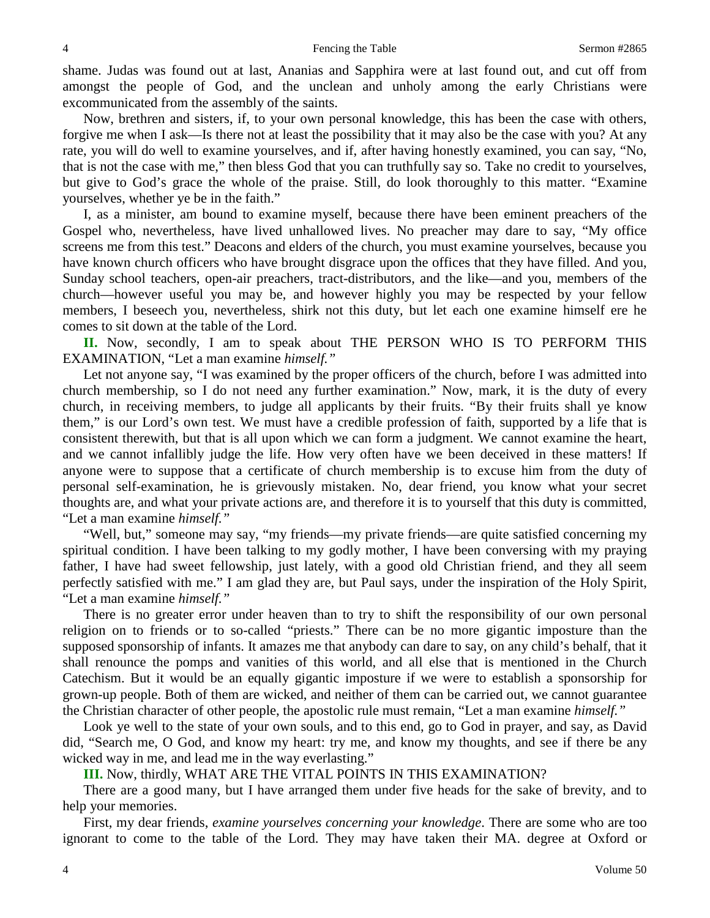shame. Judas was found out at last, Ananias and Sapphira were at last found out, and cut off from amongst the people of God, and the unclean and unholy among the early Christians were excommunicated from the assembly of the saints.

Now, brethren and sisters, if, to your own personal knowledge, this has been the case with others, forgive me when I ask—Is there not at least the possibility that it may also be the case with you? At any rate, you will do well to examine yourselves, and if, after having honestly examined, you can say, "No, that is not the case with me," then bless God that you can truthfully say so. Take no credit to yourselves, but give to God's grace the whole of the praise. Still, do look thoroughly to this matter. "Examine yourselves, whether ye be in the faith."

I, as a minister, am bound to examine myself, because there have been eminent preachers of the Gospel who, nevertheless, have lived unhallowed lives. No preacher may dare to say, "My office screens me from this test." Deacons and elders of the church, you must examine yourselves, because you have known church officers who have brought disgrace upon the offices that they have filled. And you, Sunday school teachers, open-air preachers, tract-distributors, and the like—and you, members of the church—however useful you may be, and however highly you may be respected by your fellow members, I beseech you, nevertheless, shirk not this duty, but let each one examine himself ere he comes to sit down at the table of the Lord.

**II.** Now, secondly, I am to speak about THE PERSON WHO IS TO PERFORM THIS EXAMINATION, "Let a man examine *himself."*

Let not anyone say, "I was examined by the proper officers of the church, before I was admitted into church membership, so I do not need any further examination." Now, mark, it is the duty of every church, in receiving members, to judge all applicants by their fruits. "By their fruits shall ye know them," is our Lord's own test. We must have a credible profession of faith, supported by a life that is consistent therewith, but that is all upon which we can form a judgment. We cannot examine the heart, and we cannot infallibly judge the life. How very often have we been deceived in these matters! If anyone were to suppose that a certificate of church membership is to excuse him from the duty of personal self-examination, he is grievously mistaken. No, dear friend, you know what your secret thoughts are, and what your private actions are, and therefore it is to yourself that this duty is committed, "Let a man examine *himself."*

"Well, but," someone may say, "my friends—my private friends—are quite satisfied concerning my spiritual condition. I have been talking to my godly mother, I have been conversing with my praying father, I have had sweet fellowship, just lately, with a good old Christian friend, and they all seem perfectly satisfied with me." I am glad they are, but Paul says, under the inspiration of the Holy Spirit, "Let a man examine *himself."*

There is no greater error under heaven than to try to shift the responsibility of our own personal religion on to friends or to so-called "priests." There can be no more gigantic imposture than the supposed sponsorship of infants. It amazes me that anybody can dare to say, on any child's behalf, that it shall renounce the pomps and vanities of this world, and all else that is mentioned in the Church Catechism. But it would be an equally gigantic imposture if we were to establish a sponsorship for grown-up people. Both of them are wicked, and neither of them can be carried out, we cannot guarantee the Christian character of other people, the apostolic rule must remain, "Let a man examine *himself."*

Look ye well to the state of your own souls, and to this end, go to God in prayer, and say, as David did, "Search me, O God, and know my heart: try me, and know my thoughts, and see if there be any wicked way in me, and lead me in the way everlasting."

**III.** Now, thirdly, WHAT ARE THE VITAL POINTS IN THIS EXAMINATION?

There are a good many, but I have arranged them under five heads for the sake of brevity, and to help your memories.

First, my dear friends, *examine yourselves concerning your knowledge*. There are some who are too ignorant to come to the table of the Lord. They may have taken their MA. degree at Oxford or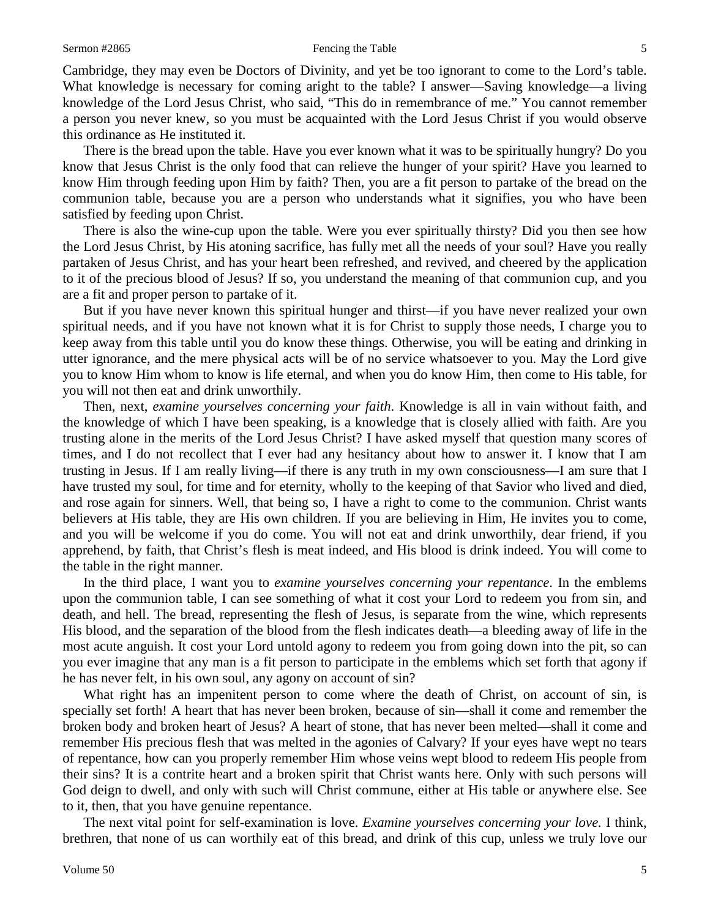Cambridge, they may even be Doctors of Divinity, and yet be too ignorant to come to the Lord's table. What knowledge is necessary for coming aright to the table? I answer—Saving knowledge—a living knowledge of the Lord Jesus Christ, who said, "This do in remembrance of me." You cannot remember a person you never knew, so you must be acquainted with the Lord Jesus Christ if you would observe this ordinance as He instituted it.

There is the bread upon the table. Have you ever known what it was to be spiritually hungry? Do you know that Jesus Christ is the only food that can relieve the hunger of your spirit? Have you learned to know Him through feeding upon Him by faith? Then, you are a fit person to partake of the bread on the communion table, because you are a person who understands what it signifies, you who have been satisfied by feeding upon Christ.

There is also the wine-cup upon the table. Were you ever spiritually thirsty? Did you then see how the Lord Jesus Christ, by His atoning sacrifice, has fully met all the needs of your soul? Have you really partaken of Jesus Christ, and has your heart been refreshed, and revived, and cheered by the application to it of the precious blood of Jesus? If so, you understand the meaning of that communion cup, and you are a fit and proper person to partake of it.

But if you have never known this spiritual hunger and thirst—if you have never realized your own spiritual needs, and if you have not known what it is for Christ to supply those needs, I charge you to keep away from this table until you do know these things. Otherwise, you will be eating and drinking in utter ignorance, and the mere physical acts will be of no service whatsoever to you. May the Lord give you to know Him whom to know is life eternal, and when you do know Him, then come to His table, for you will not then eat and drink unworthily.

Then, next, *examine yourselves concerning your faith*. Knowledge is all in vain without faith, and the knowledge of which I have been speaking, is a knowledge that is closely allied with faith. Are you trusting alone in the merits of the Lord Jesus Christ? I have asked myself that question many scores of times, and I do not recollect that I ever had any hesitancy about how to answer it. I know that I am trusting in Jesus. If I am really living—if there is any truth in my own consciousness—I am sure that I have trusted my soul, for time and for eternity, wholly to the keeping of that Savior who lived and died, and rose again for sinners. Well, that being so, I have a right to come to the communion. Christ wants believers at His table, they are His own children. If you are believing in Him, He invites you to come, and you will be welcome if you do come. You will not eat and drink unworthily, dear friend, if you apprehend, by faith, that Christ's flesh is meat indeed, and His blood is drink indeed. You will come to the table in the right manner.

In the third place, I want you to *examine yourselves concerning your repentance*. In the emblems upon the communion table, I can see something of what it cost your Lord to redeem you from sin, and death, and hell. The bread, representing the flesh of Jesus, is separate from the wine, which represents His blood, and the separation of the blood from the flesh indicates death—a bleeding away of life in the most acute anguish. It cost your Lord untold agony to redeem you from going down into the pit, so can you ever imagine that any man is a fit person to participate in the emblems which set forth that agony if he has never felt, in his own soul, any agony on account of sin?

What right has an impenitent person to come where the death of Christ, on account of sin, is specially set forth! A heart that has never been broken, because of sin—shall it come and remember the broken body and broken heart of Jesus? A heart of stone, that has never been melted—shall it come and remember His precious flesh that was melted in the agonies of Calvary? If your eyes have wept no tears of repentance, how can you properly remember Him whose veins wept blood to redeem His people from their sins? It is a contrite heart and a broken spirit that Christ wants here. Only with such persons will God deign to dwell, and only with such will Christ commune, either at His table or anywhere else. See to it, then, that you have genuine repentance.

The next vital point for self-examination is love. *Examine yourselves concerning your love.* I think, brethren, that none of us can worthily eat of this bread, and drink of this cup, unless we truly love our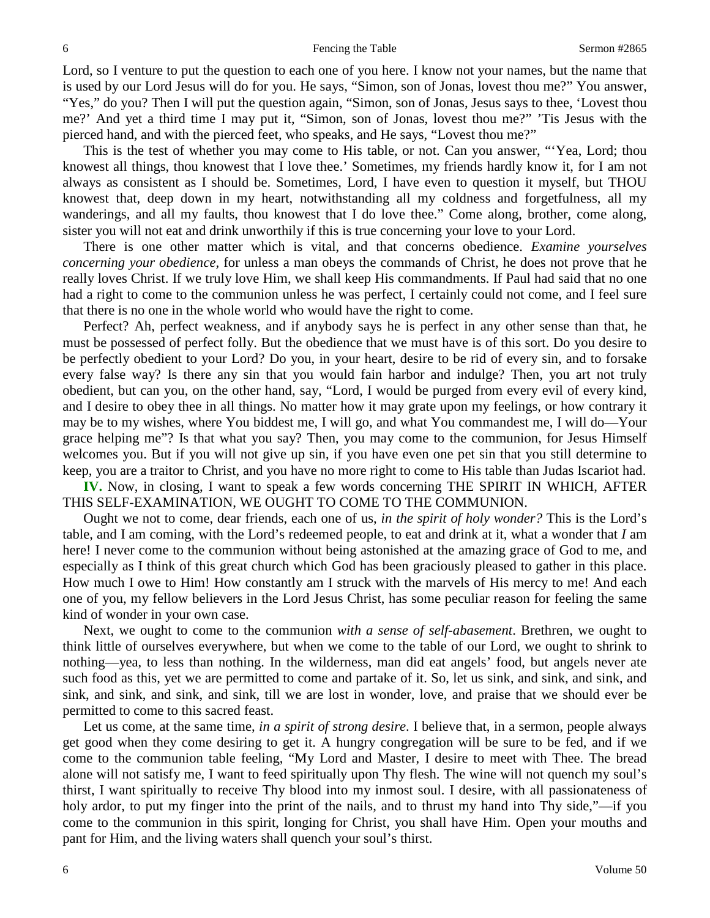Lord, so I venture to put the question to each one of you here. I know not your names, but the name that is used by our Lord Jesus will do for you. He says, "Simon, son of Jonas, lovest thou me?" You answer, "Yes," do you? Then I will put the question again, "Simon, son of Jonas, Jesus says to thee, 'Lovest thou me?' And yet a third time I may put it, "Simon, son of Jonas, lovest thou me?" 'Tis Jesus with the pierced hand, and with the pierced feet, who speaks, and He says, "Lovest thou me?"

This is the test of whether you may come to His table, or not. Can you answer, "'Yea, Lord; thou knowest all things, thou knowest that I love thee.' Sometimes, my friends hardly know it, for I am not always as consistent as I should be. Sometimes, Lord, I have even to question it myself, but THOU knowest that, deep down in my heart, notwithstanding all my coldness and forgetfulness, all my wanderings, and all my faults, thou knowest that I do love thee." Come along, brother, come along, sister you will not eat and drink unworthily if this is true concerning your love to your Lord.

There is one other matter which is vital, and that concerns obedience. *Examine yourselves concerning your obedience,* for unless a man obeys the commands of Christ, he does not prove that he really loves Christ. If we truly love Him, we shall keep His commandments. If Paul had said that no one had a right to come to the communion unless he was perfect, I certainly could not come, and I feel sure that there is no one in the whole world who would have the right to come.

Perfect? Ah, perfect weakness, and if anybody says he is perfect in any other sense than that, he must be possessed of perfect folly. But the obedience that we must have is of this sort. Do you desire to be perfectly obedient to your Lord? Do you, in your heart, desire to be rid of every sin, and to forsake every false way? Is there any sin that you would fain harbor and indulge? Then, you art not truly obedient, but can you, on the other hand, say, "Lord, I would be purged from every evil of every kind, and I desire to obey thee in all things. No matter how it may grate upon my feelings, or how contrary it may be to my wishes, where You biddest me, I will go, and what You commandest me, I will do—Your grace helping me"? Is that what you say? Then, you may come to the communion, for Jesus Himself welcomes you. But if you will not give up sin, if you have even one pet sin that you still determine to keep, you are a traitor to Christ, and you have no more right to come to His table than Judas Iscariot had.

**IV.** Now, in closing, I want to speak a few words concerning THE SPIRIT IN WHICH, AFTER THIS SELF-EXAMINATION, WE OUGHT TO COME TO THE COMMUNION.

Ought we not to come, dear friends, each one of us, *in the spirit of holy wonder?* This is the Lord's table, and I am coming, with the Lord's redeemed people, to eat and drink at it, what a wonder that *I* am here! I never come to the communion without being astonished at the amazing grace of God to me, and especially as I think of this great church which God has been graciously pleased to gather in this place. How much I owe to Him! How constantly am I struck with the marvels of His mercy to me! And each one of you, my fellow believers in the Lord Jesus Christ, has some peculiar reason for feeling the same kind of wonder in your own case.

Next, we ought to come to the communion *with a sense of self-abasement*. Brethren, we ought to think little of ourselves everywhere, but when we come to the table of our Lord, we ought to shrink to nothing—yea, to less than nothing. In the wilderness, man did eat angels' food, but angels never ate such food as this, yet we are permitted to come and partake of it. So, let us sink, and sink, and sink, and sink, and sink, and sink, and sink, till we are lost in wonder, love, and praise that we should ever be permitted to come to this sacred feast.

Let us come, at the same time, *in a spirit of strong desire*. I believe that, in a sermon, people always get good when they come desiring to get it. A hungry congregation will be sure to be fed, and if we come to the communion table feeling, "My Lord and Master, I desire to meet with Thee. The bread alone will not satisfy me, I want to feed spiritually upon Thy flesh. The wine will not quench my soul's thirst, I want spiritually to receive Thy blood into my inmost soul. I desire, with all passionateness of holy ardor, to put my finger into the print of the nails, and to thrust my hand into Thy side,"—if you come to the communion in this spirit, longing for Christ, you shall have Him. Open your mouths and pant for Him, and the living waters shall quench your soul's thirst.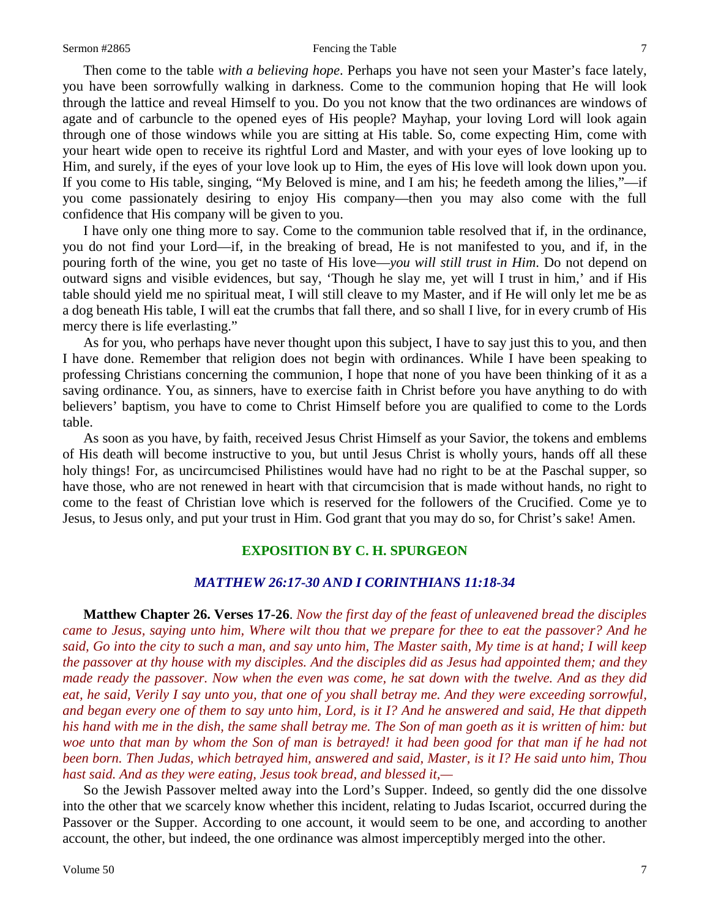### Sermon #2865 **Fencing the Table** 7

Then come to the table *with a believing hope*. Perhaps you have not seen your Master's face lately, you have been sorrowfully walking in darkness. Come to the communion hoping that He will look through the lattice and reveal Himself to you. Do you not know that the two ordinances are windows of agate and of carbuncle to the opened eyes of His people? Mayhap, your loving Lord will look again through one of those windows while you are sitting at His table. So, come expecting Him, come with your heart wide open to receive its rightful Lord and Master, and with your eyes of love looking up to Him, and surely, if the eyes of your love look up to Him, the eyes of His love will look down upon you. If you come to His table, singing, "My Beloved is mine, and I am his; he feedeth among the lilies,"—if you come passionately desiring to enjoy His company—then you may also come with the full confidence that His company will be given to you.

I have only one thing more to say. Come to the communion table resolved that if, in the ordinance, you do not find your Lord—if, in the breaking of bread, He is not manifested to you, and if, in the pouring forth of the wine, you get no taste of His love—*you will still trust in Him*. Do not depend on outward signs and visible evidences, but say, 'Though he slay me, yet will I trust in him,' and if His table should yield me no spiritual meat, I will still cleave to my Master, and if He will only let me be as a dog beneath His table, I will eat the crumbs that fall there, and so shall I live, for in every crumb of His mercy there is life everlasting."

As for you, who perhaps have never thought upon this subject, I have to say just this to you, and then I have done. Remember that religion does not begin with ordinances. While I have been speaking to professing Christians concerning the communion, I hope that none of you have been thinking of it as a saving ordinance. You, as sinners, have to exercise faith in Christ before you have anything to do with believers' baptism, you have to come to Christ Himself before you are qualified to come to the Lords table.

As soon as you have, by faith, received Jesus Christ Himself as your Savior, the tokens and emblems of His death will become instructive to you, but until Jesus Christ is wholly yours, hands off all these holy things! For, as uncircumcised Philistines would have had no right to be at the Paschal supper, so have those, who are not renewed in heart with that circumcision that is made without hands, no right to come to the feast of Christian love which is reserved for the followers of the Crucified. Come ye to Jesus, to Jesus only, and put your trust in Him. God grant that you may do so, for Christ's sake! Amen.

## **EXPOSITION BY C. H. SPURGEON**

## *MATTHEW 26:17-30 AND I CORINTHIANS 11:18-34*

**Matthew Chapter 26. Verses 17-26**. *Now the first day of the feast of unleavened bread the disciples came to Jesus, saying unto him, Where wilt thou that we prepare for thee to eat the passover? And he said, Go into the city to such a man, and say unto him, The Master saith, My time is at hand; I will keep the passover at thy house with my disciples. And the disciples did as Jesus had appointed them; and they made ready the passover. Now when the even was come, he sat down with the twelve. And as they did eat, he said, Verily I say unto you, that one of you shall betray me. And they were exceeding sorrowful, and began every one of them to say unto him, Lord, is it I? And he answered and said, He that dippeth his hand with me in the dish, the same shall betray me. The Son of man goeth as it is written of him: but woe unto that man by whom the Son of man is betrayed! it had been good for that man if he had not been born. Then Judas, which betrayed him, answered and said, Master, is it I? He said unto him, Thou hast said. And as they were eating, Jesus took bread, and blessed it,—*

So the Jewish Passover melted away into the Lord's Supper. Indeed, so gently did the one dissolve into the other that we scarcely know whether this incident, relating to Judas Iscariot, occurred during the Passover or the Supper. According to one account, it would seem to be one, and according to another account, the other, but indeed, the one ordinance was almost imperceptibly merged into the other.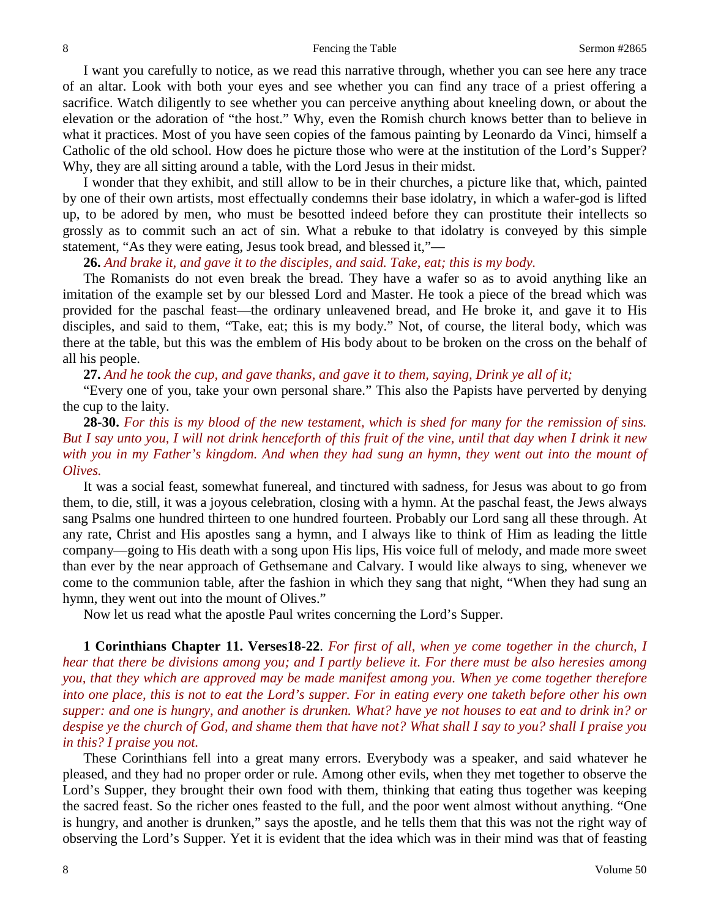I want you carefully to notice, as we read this narrative through, whether you can see here any trace of an altar. Look with both your eyes and see whether you can find any trace of a priest offering a sacrifice. Watch diligently to see whether you can perceive anything about kneeling down, or about the elevation or the adoration of "the host." Why, even the Romish church knows better than to believe in what it practices. Most of you have seen copies of the famous painting by Leonardo da Vinci, himself a Catholic of the old school. How does he picture those who were at the institution of the Lord's Supper? Why, they are all sitting around a table, with the Lord Jesus in their midst.

I wonder that they exhibit, and still allow to be in their churches, a picture like that, which, painted by one of their own artists, most effectually condemns their base idolatry, in which a wafer-god is lifted up, to be adored by men, who must be besotted indeed before they can prostitute their intellects so grossly as to commit such an act of sin. What a rebuke to that idolatry is conveyed by this simple statement, "As they were eating, Jesus took bread, and blessed it,"—

**26.** *And brake it, and gave it to the disciples, and said. Take, eat; this is my body.*

The Romanists do not even break the bread. They have a wafer so as to avoid anything like an imitation of the example set by our blessed Lord and Master. He took a piece of the bread which was provided for the paschal feast—the ordinary unleavened bread, and He broke it, and gave it to His disciples, and said to them, "Take, eat; this is my body." Not, of course, the literal body, which was there at the table, but this was the emblem of His body about to be broken on the cross on the behalf of all his people.

**27.** *And he took the cup, and gave thanks, and gave it to them, saying, Drink ye all of it;*

"Every one of you, take your own personal share." This also the Papists have perverted by denying the cup to the laity.

## **28-30.** *For this is my blood of the new testament, which is shed for many for the remission of sins. But I say unto you, I will not drink henceforth of this fruit of the vine, until that day when I drink it new with you in my Father's kingdom. And when they had sung an hymn, they went out into the mount of Olives.*

It was a social feast, somewhat funereal, and tinctured with sadness, for Jesus was about to go from them, to die, still, it was a joyous celebration, closing with a hymn. At the paschal feast, the Jews always sang Psalms one hundred thirteen to one hundred fourteen. Probably our Lord sang all these through. At any rate, Christ and His apostles sang a hymn, and I always like to think of Him as leading the little company—going to His death with a song upon His lips, His voice full of melody, and made more sweet than ever by the near approach of Gethsemane and Calvary. I would like always to sing, whenever we come to the communion table, after the fashion in which they sang that night, "When they had sung an hymn, they went out into the mount of Olives."

Now let us read what the apostle Paul writes concerning the Lord's Supper.

**1 Corinthians Chapter 11. Verses18-22**. *For first of all, when ye come together in the church, I hear that there be divisions among you; and I partly believe it. For there must be also heresies among you, that they which are approved may be made manifest among you. When ye come together therefore into one place, this is not to eat the Lord's supper. For in eating every one taketh before other his own supper: and one is hungry, and another is drunken. What? have ye not houses to eat and to drink in? or despise ye the church of God, and shame them that have not? What shall I say to you? shall I praise you in this? I praise you not.*

These Corinthians fell into a great many errors. Everybody was a speaker, and said whatever he pleased, and they had no proper order or rule. Among other evils, when they met together to observe the Lord's Supper, they brought their own food with them, thinking that eating thus together was keeping the sacred feast. So the richer ones feasted to the full, and the poor went almost without anything. "One is hungry, and another is drunken," says the apostle, and he tells them that this was not the right way of observing the Lord's Supper. Yet it is evident that the idea which was in their mind was that of feasting